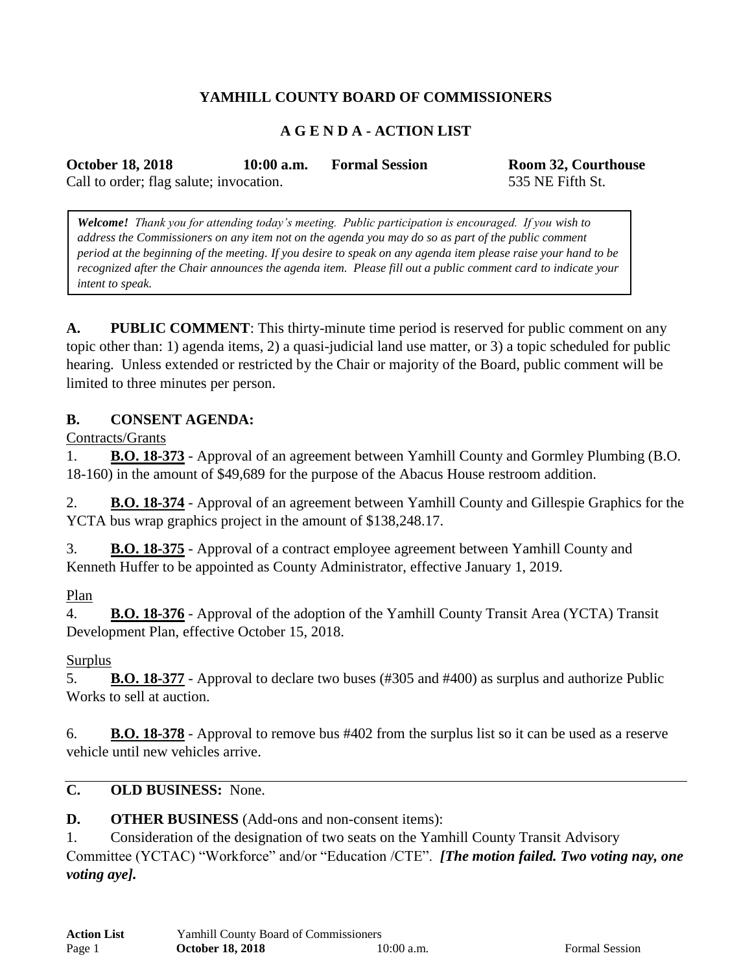# **YAMHILL COUNTY BOARD OF COMMISSIONERS**

## **A G E N D A - ACTION LIST**

**October 18, 2018 10:00 a.m. Formal Session Room 32, Courthouse**

Call to order; flag salute; invocation. 535 NE Fifth St.

*Welcome! Thank you for attending today's meeting. Public participation is encouraged. If you wish to address the Commissioners on any item not on the agenda you may do so as part of the public comment period at the beginning of the meeting. If you desire to speak on any agenda item please raise your hand to be recognized after the Chair announces the agenda item. Please fill out a public comment card to indicate your intent to speak.*

**A. PUBLIC COMMENT**: This thirty-minute time period is reserved for public comment on any topic other than: 1) agenda items, 2) a quasi-judicial land use matter, or 3) a topic scheduled for public hearing. Unless extended or restricted by the Chair or majority of the Board, public comment will be limited to three minutes per person.

### **B. CONSENT AGENDA:**

Contracts/Grants

1. **B.O. 18-373** - Approval of an agreement between Yamhill County and Gormley Plumbing (B.O. 18-160) in the amount of \$49,689 for the purpose of the Abacus House restroom addition.

2. **B.O. 18-374** - Approval of an agreement between Yamhill County and Gillespie Graphics for the YCTA bus wrap graphics project in the amount of \$138,248.17.

3. **B.O. 18-375** - Approval of a contract employee agreement between Yamhill County and Kenneth Huffer to be appointed as County Administrator, effective January 1, 2019.

### Plan

4. **B.O. 18-376** - Approval of the adoption of the Yamhill County Transit Area (YCTA) Transit Development Plan, effective October 15, 2018.

### Surplus

5. **B.O. 18-377** - Approval to declare two buses (#305 and #400) as surplus and authorize Public Works to sell at auction.

6. **B.O. 18-378** - Approval to remove bus #402 from the surplus list so it can be used as a reserve vehicle until new vehicles arrive.

#### **C. OLD BUSINESS:** None.

**D. OTHER BUSINESS** (Add-ons and non-consent items):

1. Consideration of the designation of two seats on the Yamhill County Transit Advisory Committee (YCTAC) "Workforce" and/or "Education /CTE". *[The motion failed. Two voting nay, one voting aye].*